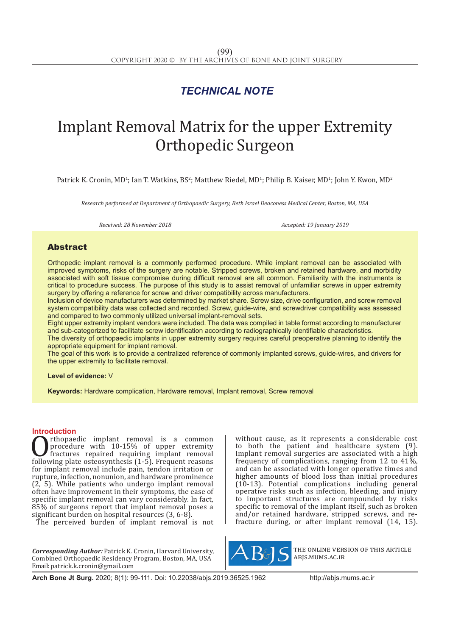## *TECHNICAL NOTE*

# Implant Removal Matrix for the upper Extremity Orthopedic Surgeon

Patrick K. Cronin, MD<sup>1</sup>; Ian T. Watkins, BS<sup>2</sup>; Matthew Riedel, MD<sup>1</sup>; Philip B. Kaiser, MD<sup>1</sup>; John Y. Kwon, MD<sup>2</sup>

*Research performed at Department of Orthopaedic Surgery, Beth Israel Deaconess Medical Center, Boston, MA, USA*

*Received: 28 November 2018 Accepted: 19 January 2019*

### Abstract

Orthopedic implant removal is a commonly performed procedure. While implant removal can be associated with improved symptoms, risks of the surgery are notable. Stripped screws, broken and retained hardware, and morbidity associated with soft tissue compromise during difficult removal are all common. Familiarity with the instruments is critical to procedure success. The purpose of this study is to assist removal of unfamiliar screws in upper extremity surgery by offering a reference for screw and driver compatibility across manufacturers.

Inclusion of device manufacturers was determined by market share. Screw size, drive configuration, and screw removal system compatibility data was collected and recorded. Screw, guide-wire, and screwdriver compatibility was assessed and compared to two commonly utilized universal implant-removal sets.

Eight upper extremity implant vendors were included. The data was compiled in table format according to manufacturer and sub-categorized to facilitate screw identification according to radiographically identifiable characteristics.

The diversity of orthopaedic implants in upper extremity surgery requires careful preoperative planning to identify the appropriate equipment for implant removal.

The goal of this work is to provide a centralized reference of commonly implanted screws, guide-wires, and drivers for the upper extremity to facilitate removal.

**Level of evidence:** V

**Keywords:** Hardware complication, Hardware removal, Implant removal, Screw removal

**Introduction**<br> **C** rthopaedic implant removal is a common **C**<br>procedure with 10-15% of upper extremity<br>fractures repaired requiring implant removal<br>following plate osteosynthesis (1-5). Frequent reasons<br>for implant removal include pain tendon irritation or procedure with 10-15% of upper extremity fractures repaired requiring implant removal following plate osteosynthesis (1-5). Frequent reasons for implant removal include pain, tendon irritation or rupture, infection, nonunion, and hardware prominence (2, 5). While patients who undergo implant removal often have improvement in their symptoms, the ease of specific implant removal can vary considerably. In fact, 85% of surgeons report that implant removal poses a significant burden on hospital resources (3, 6-8).

The perceived burden of implant removal is not

*Corresponding Author:* Patrick K. Cronin, Harvard University, Combined Orthopaedic Residency Program, Boston, MA, USA Email: patrick.k.cronin@gmail.com

without cause, as it represents a considerable cost to both the patient and healthcare system (9). Implant removal surgeries are associated with a high frequency of complications, ranging from 12 to 41%, and can be associated with longer operative times and higher amounts of blood loss than initial procedures (10-13). Potential complications including general operative risks such as infection, bleeding, and injury to important structures are compounded by risks specific to removal of the implant itself, such as broken and/or retained hardware, stripped screws, and refracture during, or after implant removal (14, 15).



the online version of this article abjs.mums.ac.ir

**Arch Bone Jt Surg.** 2020; 8(1): 99-111. Doi: 10.22038/abjs.2019.36525.1962 http://abjs.mums.ac.ir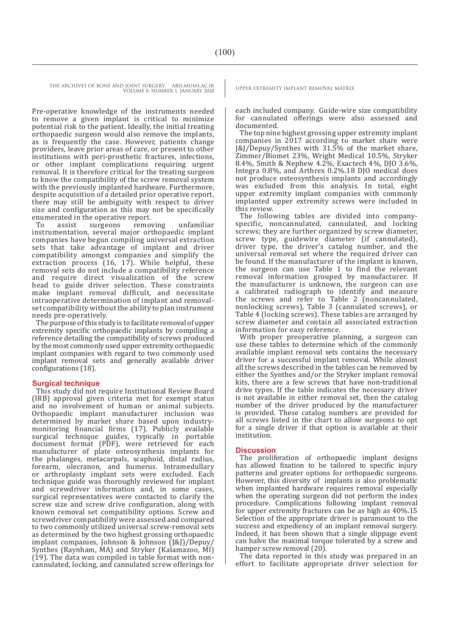THE ARCHIVES OF BONE AND JOINT SURGERY. ABJS.MUMS.AC.IR UPPER EXTREMITY IMPLANT REMOVAL MATRIX

VOLUME 8. NUMBER 1. JANUARY 2020

Pre-operative knowledge of the instruments needed to remove a given implant is critical to minimize potential risk to the patient. Ideally, the initial treating orthopaedic surgeon would also remove the implants, as is frequently the case. However, patients change providers, leave prior areas of care, or present to other institutions with peri-prosthetic fractures, infections, or other implant complications requiring urgent removal. It is therefore critical for the treating surgeon to know the compatibility of the screw removal system with the previously implanted hardware. Furthermore, despite acquisition of a detailed prior operative report, there may still be ambiguity with respect to driver size and configuration as this may not be specifically

enumerated in the operative report.<br>To assist surgeons removing To assist surgeons removing unfamiliar instrumentation, several major orthopaedic implant companies have begun compiling universal extraction sets that take advantage of implant and driver compatibility amongst companies and simplify the extraction process (16, 17). While helpful, these removal sets do not include a compatibility reference and require direct visualization of the screw head to guide driver selection. These constraints make implant removal difficult, and necessitate intraoperative determination of implant and removalset compatibility without the ability to plan instrument needs pre-operatively.

The purpose of this study is to facilitate removal of upper extremity specific orthopaedic implants by compiling a reference detailing the compatibility of screws produced by the most commonly used upper extremity orthopaedic implant companies with regard to two commonly used implant removal sets and generally available driver configurations (18).

### **Surgical technique**

This study did not require Institutional Review Board (IRB) approval given criteria met for exempt status and no involvement of human or animal subjects. Orthopaedic implant manufacturer inclusion was determined by market share based upon industrymonitoring financial firms (17). Publicly available surgical technique guides, typically in portable document format (PDF), were retrieved for each manufacturer of plate osteosynthesis implants for the phalanges, metacarpals, scaphoid, distal radius, forearm, olecranon, and humerus. Intramedullary or arthroplasty implant sets were excluded. Each technique guide was thoroughly reviewed for implant and screwdriver information and, in some cases, surgical representatives were contacted to clarify the screw size and screw drive configuration, along with known removal set compatibility options. Screw and screwdriver compatibility were assessed and compared to two commonly utilized universal screw-removal sets as determined by the two highest grossing orthopaedic implant companies, Johnson & Johnson (J&J)/Depuy/ Synthes (Raynham, MA) and Stryker (Kalamazoo, MI) (19). The data was compiled in table format with noncannulated, locking, and cannulated screw offerings for

each included company. Guide-wire size compatibility for cannulated offerings were also assessed and documented.

The top nine highest grossing upper extremity implant companies in 2017 according to market share were J&J/Depuy/Synthes with 31.5% of the market share, Zimmer/Biomet 23%, Wright Medical 10.5%, Stryker 8.4%, Smith & Nephew 4.2%, Exactech 4%, DJO 3.6%, Integra 0.8%, and Arthrex 0.2%.18 DJO medical does not produce osteosynthesis implants and accordingly was excluded from this analysis. In total, eight upper extremity implant companies with commonly implanted upper extremity screws were included in this review.

The following tables are divided into companyspecific, noncannulated, cannulated, and locking screws; they are further organized by screw diameter, screw type, guidewire diameter (if cannulated), driver type, the driver's catalog number, and the universal removal set where the required driver can be found. If the manufacturer of the implant is known, the surgeon can use Table 1 to find the relevant removal information grouped by manufacturer. If the manufacturer is unknown, the surgeon can use a calibrated radiograph to identify and measure the screws and refer to Table 2 (noncannulated, nonlocking screws), Table 3 (cannulated screws), or Table 4 (locking screws). These tables are arranged by screw diameter and contain all associated extraction information for easy reference.

With proper preoperative planning, a surgeon can use these tables to determine which of the commonly available implant removal sets contains the necessary driver for a successful implant removal. While almost all the screws described in the tables can be removed by either the Synthes and/or the Stryker implant removal kits, there are a few screws that have non-traditional drive types. If the table indicates the necessary driver is not available in either removal set, then the catalog number of the driver produced by the manufacturer is provided. These catalog numbers are provided for all screws listed in the chart to allow surgeons to opt for a single driver if that option is available at their institution.

### **Discussion**

The proliferation of orthopaedic implant designs has allowed fixation to be tailored to specific injury patterns and greater options for orthopaedic surgeons. However, this diversity of implants is also problematic when implanted hardware requires removal especially when the operating surgeon did not perform the index procedure. Complications following implant removal for upper extremity fractures can be as high as 40%.15 Selection of the appropriate driver is paramount to the success and expediency of an implant removal surgery. Indeed, it has been shown that a single slippage event can halve the maximal torque tolerated by a screw and hamper screw removal  $(20)$ .

The data reported in this study was prepared in an effort to facilitate appropriate driver selection for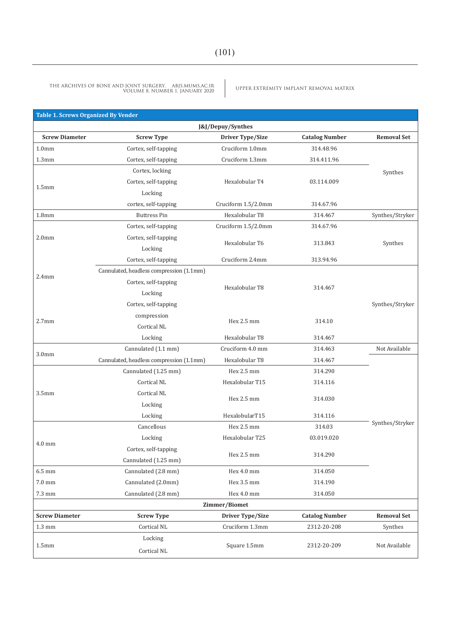| <b>Table 1. Screws Organized By Vender</b> |                                          |                     |                       |                    |  |  |  |
|--------------------------------------------|------------------------------------------|---------------------|-----------------------|--------------------|--|--|--|
|                                            |                                          | J&J/Depuy/Synthes   |                       |                    |  |  |  |
| <b>Screw Diameter</b>                      | <b>Screw Type</b>                        | Driver Type/Size    | <b>Catalog Number</b> | <b>Removal Set</b> |  |  |  |
| 1.0 <sub>mm</sub>                          | Cortex, self-tapping                     | Cruciform 1.0mm     | 314.48.96             |                    |  |  |  |
| 1.3 <sub>mm</sub>                          | Cortex, self-tapping                     | Cruciform 1.3mm     | 314.411.96            |                    |  |  |  |
| 1.5 <sub>mm</sub>                          | Cortex, locking                          |                     |                       | Synthes            |  |  |  |
|                                            | Cortex, self-tapping                     | Hexalobular T4      | 03.114.009            |                    |  |  |  |
|                                            | Locking                                  |                     |                       |                    |  |  |  |
|                                            | cortex, self-tapping                     | Cruciform 1.5/2.0mm | 314.67.96             |                    |  |  |  |
| 1.8 <sub>mm</sub>                          | <b>Buttress Pin</b>                      | Hexalobular T8      | 314.467               | Synthes/Stryker    |  |  |  |
|                                            | Cortex, self-tapping                     | Cruciform 1.5/2.0mm | 314.67.96             |                    |  |  |  |
| 2.0 <sub>mm</sub>                          | Cortex, self-tapping                     | Hexalobular T6      | 313.843               | Synthes            |  |  |  |
|                                            | Locking                                  |                     |                       |                    |  |  |  |
|                                            | Cortex, self-tapping                     | Cruciform 2.4mm     | 313.94.96             |                    |  |  |  |
|                                            | Cannulated, headless compression (1.1mm) |                     |                       |                    |  |  |  |
| 2.4 <sub>mm</sub>                          | Cortex, self-tapping                     | Hexalobular T8      | 314.467               |                    |  |  |  |
|                                            | Locking                                  |                     |                       |                    |  |  |  |
| 2.7 <sub>mm</sub>                          | Cortex, self-tapping                     |                     |                       | Synthes/Stryker    |  |  |  |
|                                            | compression                              | Hex 2.5 mm          | 314.10                |                    |  |  |  |
|                                            | Cortical NL                              |                     |                       |                    |  |  |  |
|                                            | Locking                                  | Hexalobular T8      | 314.467               |                    |  |  |  |
|                                            | Cannulated (1.1 mm)                      | Cruciform 4.0 mm    | 314.463               | Not Available      |  |  |  |
| 3.0 <sub>mm</sub>                          | Cannulated, headless compression (1.1mm) | Hexalobular T8      | 314.467               |                    |  |  |  |
|                                            | Cannulated (1.25 mm)                     | Hex 2.5 mm          | 314.290               |                    |  |  |  |
|                                            | Cortical NL                              | Hexalobular T15     | 314.116               |                    |  |  |  |
| 3.5 <sub>mm</sub>                          | Cortical NL                              | Hex 2.5 mm          | 314.030               |                    |  |  |  |
|                                            | Locking                                  |                     |                       |                    |  |  |  |
|                                            | Locking                                  | HexalobularT15      | 314.116               |                    |  |  |  |
|                                            | Cancellous                               | Hex 2.5 mm          | 314.03                | Synthes/Stryker    |  |  |  |
| $4.0$ mm                                   | Locking                                  | Hexalobular T25     | 03.019.020            |                    |  |  |  |
|                                            | Cortex, self-tapping                     | Hex 2.5 mm          | 314.290               |                    |  |  |  |
|                                            | Cannulated (1.25 mm)                     |                     |                       |                    |  |  |  |
| $6.5$ mm                                   | Cannulated (2.8 mm)                      | Hex 4.0 mm          | 314.050               |                    |  |  |  |
| $7.0 \text{ mm}$                           | Cannulated (2.0mm)                       | Hex 3.5 mm          | 314.190               |                    |  |  |  |
| $7.3 \text{ mm}$                           | Cannulated (2.8 mm)                      | Hex 4.0 mm          | 314.050               |                    |  |  |  |
| Zimmer/Biomet                              |                                          |                     |                       |                    |  |  |  |
| <b>Screw Diameter</b>                      | <b>Screw Type</b>                        | Driver Type/Size    | <b>Catalog Number</b> | <b>Removal Set</b> |  |  |  |
| $1.3 \text{ mm}$                           | Cortical NL                              | Cruciform 1.3mm     | 2312-20-208           | Synthes            |  |  |  |
|                                            | Locking                                  |                     |                       |                    |  |  |  |
| 1.5 <sub>mm</sub>                          | Cortical NL                              | Square 1.5mm        | 2312-20-209           | Not Available      |  |  |  |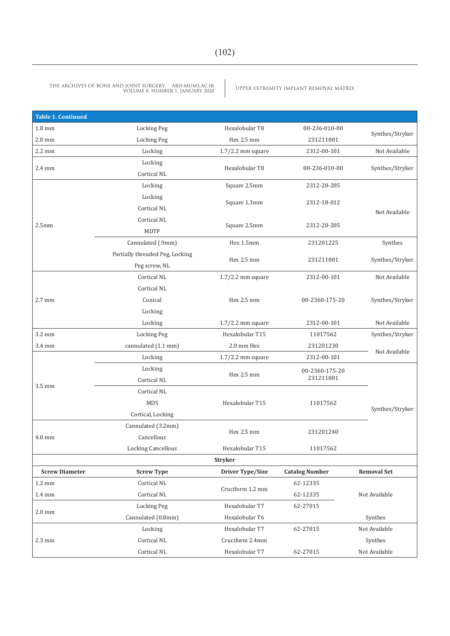| <b>Table 1. Continued</b> |                                      |                         |                       |                    |  |
|---------------------------|--------------------------------------|-------------------------|-----------------------|--------------------|--|
| $1.8 \text{ mm}$          | <b>Locking Peg</b><br>Hexalobular T8 |                         | 00-236-010-00         |                    |  |
| $2.0$ mm                  | <b>Locking Peg</b>                   | Hex 2.5 mm<br>231211001 |                       | Synthes/Stryker    |  |
| 2.2 mm                    | Locking                              | $1.7/2.2$ mm square     | 2312-00-101           | Not Available      |  |
| 2.4 mm                    | Locking                              | Hexalobular T8          | 00-236-010-00         |                    |  |
|                           | Cortical NL                          |                         |                       | Synthes/Stryker    |  |
|                           | Locking                              | Square 2.5mm            | 2312-20-205           |                    |  |
|                           | Locking                              |                         |                       |                    |  |
|                           | Cortical NL                          | Square 1.3mm            | 2312-18-012           | Not Available      |  |
|                           | Cortical NL                          |                         |                       |                    |  |
| 2.5 <sub>mm</sub>         | <b>MDTP</b>                          | Square 2.5mm            | 2312-20-205           |                    |  |
|                           | Cannulated (.9mm)                    | Hex 1.5mm               | 231201225             | Synthes            |  |
|                           | Partially threaded Peg, Locking      |                         |                       |                    |  |
|                           | Peg screw, NL                        | Hex 2.5 mm              | 231211001             | Synthes/Stryker    |  |
|                           | Cortical NL                          | $1.7/2.2$ mm square     | 2312-00-101           | Not Available      |  |
| 2.7 mm                    | Cortical NL                          |                         |                       |                    |  |
|                           | Conical                              | Hex 2.5 mm              | 00-2360-175-20        | Synthes/Stryker    |  |
|                           | Locking                              |                         |                       |                    |  |
|                           | Locking                              | $1.7/2.2$ mm square     | 2312-00-101           | Not Available      |  |
| 3.2 mm                    | <b>Locking Peg</b>                   | Hexalobular T15         | 11017562              | Synthes/Stryker    |  |
| 3.4 mm                    | cannulated (1.1 mm)                  | 2.0 mm Hex              | 231201230             |                    |  |
|                           | Locking                              | $1.7/2.2$ mm square     | 2312-00-101           | Not Available      |  |
|                           | Locking                              |                         | 00-2360-175-20        |                    |  |
|                           | Cortical NL                          | Hex 2.5 mm              | 231211001             |                    |  |
| 3.5 mm                    | Cortical NL                          |                         |                       |                    |  |
|                           | MDS                                  | Hexalobular T15         | 11017562              |                    |  |
|                           | Cortical, Locking                    |                         |                       | Synthes/Stryker    |  |
|                           | Cannulated (3.2mm)                   |                         |                       |                    |  |
| 4.0 mm                    | Cancellous                           | Hex 2.5 mm              | 231201240             |                    |  |
|                           | Locking Cancellous                   | Hexalobular T15         | 11017562              |                    |  |
|                           |                                      | <b>Stryker</b>          |                       |                    |  |
| <b>Screw Diameter</b>     | <b>Screw Type</b>                    | <b>Driver Type/Size</b> | <b>Catalog Number</b> | <b>Removal Set</b> |  |
| $1.2 \text{ mm}$          | Cortical NL                          |                         | 62-12335              |                    |  |
| $1.4 \text{ mm}$          | Cortical NL                          | Cruciform 1.2 mm        | 62-12335              | Not Available      |  |
|                           | Locking Peg                          | Hexalobular T7          | 62-27015              |                    |  |
| $2.0 \text{ mm}$          | Cannulated (0.8mm)                   | Hexalobular T6          |                       | Synthes            |  |
|                           | Locking                              | Hexalobular T7          | 62-27015              | Not Available      |  |
| 2.3 mm                    | Cortical NL                          | Cruciform 2.4mm         |                       | Synthes            |  |
|                           | Cortical NL                          | Hexalobular T7          | 62-27015              | Not Available      |  |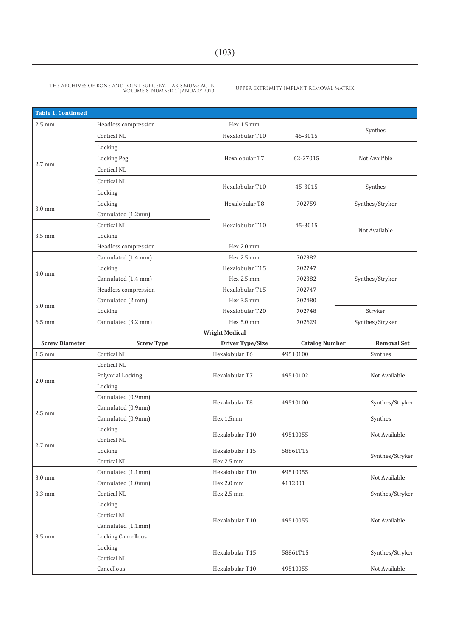| <b>Table 1. Continued</b> |                                          |                               |                       |                            |
|---------------------------|------------------------------------------|-------------------------------|-----------------------|----------------------------|
| $2.5 \text{ mm}$          | Headless compression                     | Hex 1.5 mm                    |                       |                            |
|                           | Cortical NL                              | Hexalobular T10               | 45-3015               | Synthes                    |
|                           | Locking                                  |                               |                       |                            |
|                           | Locking Peg                              | Hexalobular T7                | 62-27015              | Not Avail <sup>a</sup> ble |
| 2.7 mm                    | Cortical NL                              |                               |                       |                            |
|                           | Cortical NL                              |                               |                       |                            |
|                           | Locking                                  | Hexalobular T10               | 45-3015               | Synthes                    |
|                           | Locking                                  | Hexalobular T8                | 702759                | Synthes/Stryker            |
| $3.0 \text{ mm}$          | Cannulated (1.2mm)                       |                               |                       |                            |
|                           | Cortical NL                              | Hexalobular T10               | 45-3015               |                            |
| 3.5 mm                    | Locking                                  |                               |                       | Not Available              |
|                           | Headless compression                     | Hex 2.0 mm                    |                       |                            |
|                           | Cannulated (1.4 mm)                      | Hex 2.5 mm                    | 702382                |                            |
| $4.0 \text{ mm}$          | Locking                                  | Hexalobular T15               | 702747                |                            |
|                           | Cannulated (1.4 mm)                      | Hex 2.5 mm                    | 702382                | Synthes/Stryker            |
|                           | Headless compression                     | Hexalobular T15               | 702747                |                            |
| $5.0 \text{ mm}$          | Cannulated (2 mm)                        | Hex 3.5 mm                    | 702480                |                            |
|                           | Locking                                  | Hexalobular T20               | 702748                | Stryker                    |
| 6.5 mm                    | Cannulated (3.2 mm)                      | Hex 5.0 mm                    | 702629                | Synthes/Stryker            |
|                           |                                          | <b>Wright Medical</b>         |                       |                            |
| <b>Screw Diameter</b>     | <b>Screw Type</b>                        | Driver Type/Size              | <b>Catalog Number</b> | <b>Removal Set</b>         |
| $1.5 \text{ mm}$          | Cortical NL                              | Hexalobular T6                | 49510100              | Synthes                    |
|                           | Cortical NL                              |                               |                       |                            |
| $2.0 \text{ mm}$          | Polyaxial Locking                        | Hexalobular T7                | 49510102              |                            |
|                           | Locking                                  |                               |                       |                            |
|                           | Cannulated (0.9mm)                       | Hexalobular T8                | 49510100              | Synthes/Stryker            |
| $2.5 \text{ mm}$          | Cannulated (0.9mm)                       |                               |                       |                            |
|                           | Cannulated (0.9mm)                       | Hex 1.5mm                     |                       | Synthes                    |
|                           | Locking                                  | Hexalobular T10               | 49510055              | Not Available              |
| $2.7 \text{ mm}$          | Cortical NL                              |                               |                       |                            |
|                           | Locking                                  | Hexalobular T15               | 58861T15              | Synthes/Stryker            |
|                           | Cortical NL                              | Hex 2.5 mm                    |                       |                            |
| $3.0 \text{ mm}$          | Cannulated (1.1mm)<br>Cannulated (1.0mm) | Hexalobular T10<br>Hex 2.0 mm | 49510055<br>4112001   | Not Available              |
| 3.3 mm                    | Cortical NL                              | Hex 2.5 mm                    |                       | Synthes/Stryker            |
|                           | Locking                                  |                               |                       |                            |
|                           | Cortical NL                              |                               |                       |                            |
|                           | Cannulated (1.1mm)                       | Hexalobular T10               | 49510055              | Not Available              |
| 3.5 mm                    | <b>Locking Cancellous</b>                |                               |                       |                            |
|                           | Locking                                  |                               |                       |                            |
|                           |                                          | Hexalobular T15               | 58861T15              | Synthes/Stryker            |
|                           |                                          |                               |                       |                            |
|                           | Cortical NL<br>Cancellous                | Hexalobular T10               | 49510055              | Not Available              |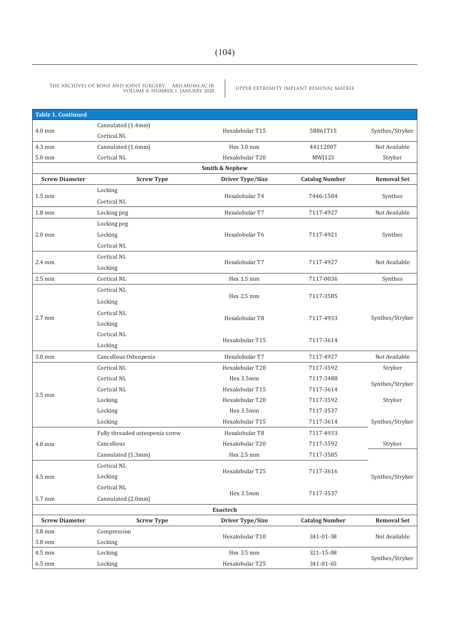| <b>Table 1. Continued</b> |                                 |                         |                       |                    |  |  |  |  |  |
|---------------------------|---------------------------------|-------------------------|-----------------------|--------------------|--|--|--|--|--|
| $4.0 \text{ mm}$          | Cannulated (1.4mm)              | Hexalobular T15         | 58861T15              | Synthes/Stryker    |  |  |  |  |  |
|                           | Cortical NL                     |                         |                       |                    |  |  |  |  |  |
| $4.3 \text{ mm}$          | Cannulated (1.6mm)              | Hex 3.0 mm              | 44112007              | Not Available      |  |  |  |  |  |
| $5.0$ mm                  | Cortical NL                     | Hexalobular T20         | MWJ123                | Stryker            |  |  |  |  |  |
|                           | <b>Smith &amp; Nephew</b>       |                         |                       |                    |  |  |  |  |  |
| <b>Screw Diameter</b>     | <b>Screw Type</b>               | Driver Type/Size        | <b>Catalog Number</b> | <b>Removal Set</b> |  |  |  |  |  |
| $1.5 \text{ mm}$          | Locking                         | Hexalobular T4          | 7446-1504             | Synthes            |  |  |  |  |  |
|                           | Cortical NL                     |                         |                       |                    |  |  |  |  |  |
| $1.8 \text{ mm}$          | Locking peg                     | Hexalobular T7          | 7117-4927             | Not Available      |  |  |  |  |  |
|                           | Locking peg                     |                         |                       |                    |  |  |  |  |  |
| $2.0 \text{ mm}$          | Locking                         | Hexalobular T6          | 7117-4921             | Synthes            |  |  |  |  |  |
|                           | Cortical NL                     |                         |                       |                    |  |  |  |  |  |
| $2.4 \text{ mm}$          | Cortical NL                     | Hexalobular T7          |                       |                    |  |  |  |  |  |
|                           | Locking                         |                         | 7117-4927             | Not Available      |  |  |  |  |  |
| $2.5 \text{ mm}$          | Cortical NL                     | Hex 1.5 mm              | 7117-0036             | Synthes            |  |  |  |  |  |
|                           | Cortical NL                     |                         |                       |                    |  |  |  |  |  |
|                           | Locking                         | Hex 2.5 mm              | 7117-3585             |                    |  |  |  |  |  |
| $2.7 \text{ mm}$          | Cortical NL                     |                         |                       |                    |  |  |  |  |  |
|                           | Locking                         | Hexalobular T8          | 7117-4933             | Synthes/Stryker    |  |  |  |  |  |
|                           | Cortical NL                     |                         |                       |                    |  |  |  |  |  |
|                           | Locking                         | Hexalobular T15         | 7117-3614             |                    |  |  |  |  |  |
| $3.0 \text{ mm}$          | Cancellous Osteopenia           | Hexalobular T7          | 7117-4927             | Not Available      |  |  |  |  |  |
|                           | Cortical NL                     | Hexalobular T20         | 7117-3592             | Stryker            |  |  |  |  |  |
|                           | Cortical NL                     | Hex 3.5mm               | 7117-3488             |                    |  |  |  |  |  |
|                           | Cortical NL                     | Hexalobular T15         | 7117-3614             | Synthes/Stryker    |  |  |  |  |  |
| $3.5 \text{ mm}$          | Locking                         | Hexalobular T20         | 7117-3592             | Stryker            |  |  |  |  |  |
|                           | Locking                         | Hex 3.5mm               | 7117-3537             |                    |  |  |  |  |  |
|                           | Locking                         | Hexalobular T15         | 7117-3614             | Synthes/Stryker    |  |  |  |  |  |
|                           | Fully threaded osteopenia screw | Hexalobular T8          | 7117-4933             |                    |  |  |  |  |  |
| $4.0 \text{ mm}$          | Cancellous                      | Hexalobular T20         | 7117-3592             | Stryker            |  |  |  |  |  |
|                           | Cannulated (1.3mm)              | Hex 2.5 mm              | 7117-3585             |                    |  |  |  |  |  |
|                           | Cortical NL                     | Hexalobular T25         | 7117-3616             |                    |  |  |  |  |  |
| 4.5 mm                    | Locking                         |                         |                       | Synthes/Stryker    |  |  |  |  |  |
|                           | Cortical NL                     |                         |                       |                    |  |  |  |  |  |
| 5.7 mm                    | Cannulated (2.0mm)              | Hex 3.5mm               | 7117-3537             |                    |  |  |  |  |  |
|                           |                                 | <b>Exactech</b>         |                       |                    |  |  |  |  |  |
| <b>Screw Diameter</b>     | <b>Screw Type</b>               | <b>Driver Type/Size</b> | <b>Catalog Number</b> | <b>Removal Set</b> |  |  |  |  |  |
| 3.8 mm                    | Compression                     | Hexalobular T10         | 341-01-38             | Not Available      |  |  |  |  |  |
| 3.8 mm                    | Locking                         |                         |                       |                    |  |  |  |  |  |
| 4.5 mm                    | Locking                         | Hex 3.5 mm              | 321-15-08             | Synthes/Stryker    |  |  |  |  |  |
| $6.5$ mm                  | Locking                         | Hexalobular T25         | 341-01-65             |                    |  |  |  |  |  |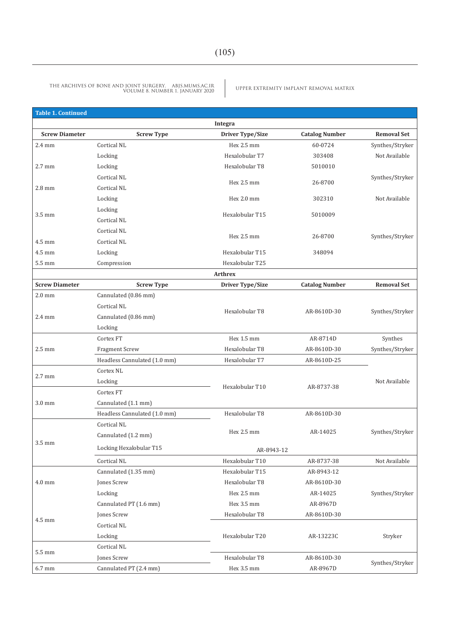| Table 1. Continued    |                                     |                                    |                       |                    |
|-----------------------|-------------------------------------|------------------------------------|-----------------------|--------------------|
|                       |                                     | Integra                            |                       |                    |
| <b>Screw Diameter</b> | <b>Screw Type</b>                   | Driver Type/Size                   | <b>Catalog Number</b> | <b>Removal Set</b> |
| $2.4 \text{ mm}$      | Cortical NL                         | Hex 2.5 mm                         | 60-0724               | Synthes/Stryker    |
|                       | Locking                             | Hexalobular T7                     | 303408                | Not Available      |
| $2.7$ mm              | Locking                             | Hexalobular T8                     | 5010010               |                    |
|                       | Cortical NL                         |                                    |                       | Synthes/Stryker    |
| $2.8$ mm              | Cortical NL                         | Hex 2.5 mm                         | 26-8700               |                    |
|                       | Locking                             | Hex 2.0 mm                         | 302310                | Not Available      |
|                       | Locking                             |                                    |                       |                    |
| 3.5 mm                | Cortical NL                         | Hexalobular T15                    | 5010009               |                    |
|                       | Cortical NL                         |                                    |                       |                    |
| 4.5 mm                | Cortical NL                         | Hex 2.5 mm                         | 26-8700               | Synthes/Stryker    |
| 4.5 mm                | Locking                             | Hexalobular T15                    | 348094                |                    |
| 5.5 mm                | Compression                         | Hexalobular T25                    |                       |                    |
|                       |                                     | <b>Arthrex</b>                     |                       |                    |
| <b>Screw Diameter</b> | <b>Screw Type</b>                   | Driver Type/Size                   | <b>Catalog Number</b> | <b>Removal Set</b> |
| $2.0$ mm              | Cannulated (0.86 mm)                |                                    |                       |                    |
|                       | Cortical NL                         |                                    |                       |                    |
| $2.4 \text{ mm}$      | Cannulated (0.86 mm)                | Hexalobular T8                     | AR-8610D-30           | Synthes/Stryker    |
|                       | Locking                             |                                    |                       |                    |
|                       | Cortex FT                           | Hex 1.5 mm                         | AR-8714D              | Synthes            |
| $2.5 \text{ mm}$      | <b>Fragment Screw</b>               | Hexalobular T8                     | AR-8610D-30           | Synthes/Stryker    |
|                       | Headless Cannulated (1.0 mm)        | Hexalobular T7                     | AR-8610D-25           |                    |
|                       | Cortex <sub>NL</sub>                |                                    |                       |                    |
| $2.7$ mm              | Locking                             |                                    |                       | Not Available      |
|                       | Cortex FT                           | Hexalobular T10                    | AR-8737-38            |                    |
| 3.0 mm                | Cannulated (1.1 mm)                 |                                    |                       |                    |
|                       | Headless Cannulated (1.0 mm)        | Hexalobular T8                     | AR-8610D-30           |                    |
|                       | Cortical NL                         |                                    |                       |                    |
|                       | Cannulated (1.2 mm)                 | Hex 2.5 mm                         | AR-14025              | Synthes/Stryker    |
| $3.5 \text{ mm}$      | Locking Hexalobular T15             | AR-8943-12                         |                       |                    |
|                       | Cortical NL                         |                                    | AR-8737-38            | Not Available      |
|                       |                                     | Hexalobular T10<br>Hexalobular T15 | AR-8943-12            |                    |
|                       | Cannulated (1.35 mm)<br>Jones Screw | Hexalobular T8                     | AR-8610D-30           |                    |
| $4.0 \text{ mm}$      | Locking                             | Hex 2.5 mm                         | AR-14025              |                    |
|                       |                                     |                                    |                       | Synthes/Stryker    |
|                       | Cannulated PT (1.6 mm)              | Hex 3.5 mm                         | AR-8967D              |                    |
| 4.5 mm                | Jones Screw                         | Hexalobular T8                     | AR-8610D-30           |                    |
|                       | Cortical NL                         |                                    |                       |                    |
|                       | Locking                             | Hexalobular T20                    | AR-13223C             | Stryker            |
| 5.5 mm                | Cortical NL                         |                                    |                       |                    |
|                       | Jones Screw                         | Hexalobular T8                     | AR-8610D-30           | Synthes/Stryker    |
| 6.7 mm                | Cannulated PT (2.4 mm)              | Hex 3.5 mm                         | AR-8967D              |                    |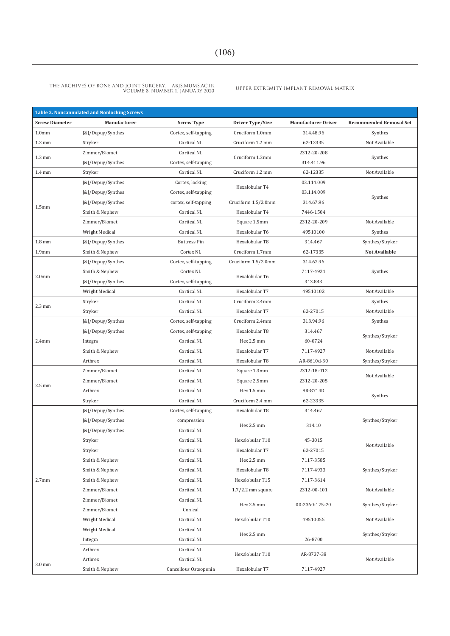| <b>Table 2. Noncannulated and Nonlocking Screws</b> |                   |                       |                     |                            |                                |  |  |
|-----------------------------------------------------|-------------------|-----------------------|---------------------|----------------------------|--------------------------------|--|--|
| <b>Screw Diameter</b>                               | Manufacturer      | <b>Screw Type</b>     | Driver Type/Size    | <b>Manufacturer Driver</b> | <b>Recommended Removal Set</b> |  |  |
| 1.0 <sub>mm</sub>                                   | J&J/Depuy/Synthes | Cortex, self-tapping  | Cruciform 1.0mm     | 314.48.96                  | Synthes                        |  |  |
| $1.2 \text{ mm}$                                    | Stryker           | Cortical NL           | Cruciform 1.2 mm    | 62-12335                   | Not Available                  |  |  |
| $1.3 \text{ mm}$                                    | Zimmer/Biomet     | Cortical NL           | Cruciform 1.3mm     | 2312-20-208                | Synthes                        |  |  |
|                                                     | [&]/Depuy/Synthes | Cortex, self-tapping  |                     | 314.411.96                 |                                |  |  |
| $1.4 \text{ mm}$                                    | Stryker           | Cortical NL           | Cruciform 1.2 mm    | 62-12335                   | Not Available                  |  |  |
|                                                     | J&J/Depuy/Synthes | Cortex, locking       | Hexalobular T4      | 03.114.009                 |                                |  |  |
|                                                     | J&J/Depuy/Synthes | Cortex, self-tapping  |                     | 03.114.009                 | Synthes                        |  |  |
| 1.5 <sub>mm</sub>                                   | [&]/Depuy/Synthes | cortex, self-tapping  | Cruciform 1.5/2.0mm | 314.67.96                  |                                |  |  |
|                                                     | Smith & Nephew    | Cortical NL           | Hexalobular T4      | 7446-1504                  |                                |  |  |
|                                                     | Zimmer/Biomet     | Cortical NL           | Square 1.5mm        | 2312-20-209                | Not Available                  |  |  |
|                                                     | Wright Medical    | Cortical NL           | Hexalobular T6      | 49510100                   | Synthes                        |  |  |
| $1.8 \text{ mm}$                                    | J&J/Depuy/Synthes | <b>Buttress Pin</b>   | Hexalobular T8      | 314.467                    | Synthes/Stryker                |  |  |
| 1.9 <sub>mm</sub>                                   | Smith & Nephew    | Cortex NL             | Cruciform 1.7mm     | 62-17335                   | Not Available                  |  |  |
|                                                     | J&J/Depuy/Synthes | Cortex, self-tapping  | Cruciform 1.5/2.0mm | 314.67.96                  |                                |  |  |
| 2.0 <sub>mm</sub>                                   | Smith & Nephew    | Cortex NL             | Hexalobular T6      | 7117-4921                  | Synthes                        |  |  |
|                                                     | J&J/Depuy/Synthes | Cortex, self-tapping  |                     | 313.843                    |                                |  |  |
|                                                     | Wright Medical    | Cortical NL           | Hexalobular T7      | 49510102                   | Not Available                  |  |  |
| $2.3 \text{ mm}$                                    | Stryker           | Cortical NL           | Cruciform 2.4mm     |                            | Synthes                        |  |  |
|                                                     | Stryker           | Cortical NL           | Hexalobular T7      | 62-27015                   | Not Available                  |  |  |
|                                                     | J&J/Depuy/Synthes | Cortex, self-tapping  | Cruciform 2.4mm     | 313.94.96                  | Synthes                        |  |  |
|                                                     | J&J/Depuy/Synthes | Cortex, self-tapping  | Hexalobular T8      | 314.467                    | Synthes/Stryker                |  |  |
| 2.4 <sub>mm</sub>                                   | Integra           | Cortical NL           | Hex 2.5 mm          | 60-0724                    |                                |  |  |
|                                                     | Smith & Nephew    | Cortical NL           | Hexalobular T7      | 7117-4927                  | Not Available                  |  |  |
|                                                     | Arthrex           | Cortical NL           | Hexalobular T8      | AR-8610d-30                | Synthes/Stryker                |  |  |
|                                                     | Zimmer/Biomet     | Cortical NL           | Square 1.3mm        | 2312-18-012                | Not Available                  |  |  |
| $2.5 \text{ mm}$                                    | Zimmer/Biomet     | Cortical NL           | Square 2.5mm        | 2312-20-205                |                                |  |  |
|                                                     | Arthrex           | Cortical NL           | Hex 1.5 mm          | AR-8714D                   | Synthes                        |  |  |
|                                                     | Stryker           | Cortical NL           | Cruciform 2.4 mm    | 62-23335                   |                                |  |  |
|                                                     | J&J/Depuy/Synthes | Cortex, self-tapping  | Hexalobular T8      | 314.467                    |                                |  |  |
|                                                     | J&J/Depuy/Synthes | compression           | Hex 2.5 mm          | 314.10                     | Synthes/Stryker                |  |  |
|                                                     | J&J/Depuy/Synthes | Cortical NL           |                     |                            |                                |  |  |
|                                                     | Stryker           | Cortical NL           | Hexalobular T10     | 45-3015                    | Not Available                  |  |  |
|                                                     | Stryker           | Cortical NL           | Hexalobular T7      | 62-27015                   |                                |  |  |
|                                                     | Smith & Nephew    | Cortical NL           | Hex 2.5 mm          | 7117-3585                  |                                |  |  |
|                                                     | Smith & Nephew    | Cortical NL           | Hexalobular T8      | 7117-4933                  | Synthes/Stryker                |  |  |
| 2.7 <sub>mm</sub>                                   | Smith & Nephew    | Cortical NL           | Hexalobular T15     | 7117-3614                  |                                |  |  |
|                                                     | Zimmer/Biomet     | Cortical NL           | $1.7/2.2$ mm square | 2312-00-101                | Not Available                  |  |  |
|                                                     | Zimmer/Biomet     | Cortical NL           | Hex 2.5 mm          | 00-2360-175-20             | Synthes/Stryker                |  |  |
|                                                     | Zimmer/Biomet     | Conical               |                     |                            |                                |  |  |
|                                                     | Wright Medical    | Cortical NL           | Hexalobular T10     | 49510055                   | Not Available                  |  |  |
|                                                     | Wright Medical    | Cortical NL           | Hex 2.5 mm          |                            | Synthes/Stryker                |  |  |
|                                                     | Integra           | Cortical NL           |                     | 26-8700                    |                                |  |  |
|                                                     | Arthrex           | Cortical NL           | Hexalobular T10     | AR-8737-38                 |                                |  |  |
| $3.0 \text{ mm}$                                    | Arthrex           | Cortical NL           |                     |                            | Not Available                  |  |  |
|                                                     | Smith & Nephew    | Cancellous Osteopenia | Hexalobular T7      | 7117-4927                  |                                |  |  |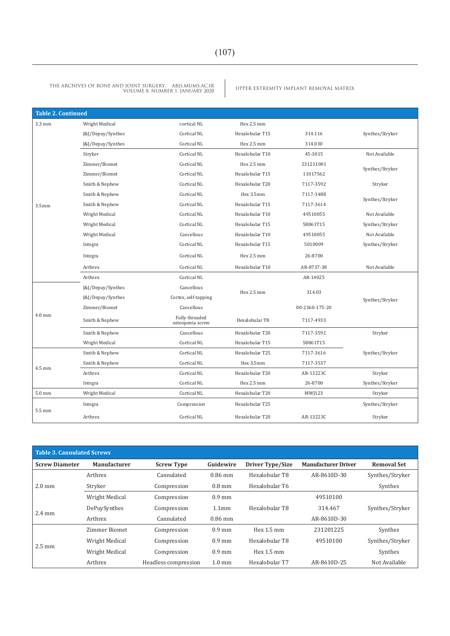| <b>Table 2. Continued</b> |                   |                                    |                 |                |                 |
|---------------------------|-------------------|------------------------------------|-----------------|----------------|-----------------|
| $3.3 \text{ mm}$          | Wright Medical    | cortical NL                        | Hex 2.5 mm      |                |                 |
|                           | J&J/Depuy/Synthes | Cortical NL                        | Hexalobular T15 | 314.116        | Synthes/Stryker |
|                           | J&J/Depuy/Synthes | Cortical NL                        | Hex 2.5 mm      | 314.030        |                 |
|                           | Stryker           | Cortical NL                        | Hexalobular T10 | 45-3015        | Not Available   |
|                           | Zimmer/Biomet     | Cortical NL                        | Hex 2.5 mm      | 231211001      | Synthes/Stryker |
|                           | Zimmer/Biomet     | Cortical NL                        | Hexalobular T15 | 11017562       |                 |
|                           | Smith & Nephew    | Cortical NL                        | Hexalobular T20 | 7117-3592      | Stryker         |
|                           | Smith & Nephew    | Cortical NL                        | Hex 3.5mm       | 7117-3488      |                 |
| 3.5 <sub>mm</sub>         | Smith & Nephew    | Cortical NL                        | Hexalobular T15 | 7117-3614      | Synthes/Stryker |
|                           | Wright Medical    | Cortical NL                        | Hexalobular T10 | 49510055       | Not Available   |
|                           | Wright Medical    | Cortical NL                        | Hexalobular T15 | 58861T15       | Synthes/Stryker |
|                           | Wright Medical    | Cancellous                         | Hexalobular T10 | 49510055       | Not Available   |
|                           | Integra           | Cortical NL                        | Hexalobular T15 | 5010009        | Synthes/Stryker |
|                           | Integra           | Cortical NL                        | Hex 2.5 mm      | 26-8700        |                 |
|                           | Arthrex           | Cortical NL                        | Hexalobular T10 | AR-8737-38     | Not Available   |
|                           | Arthrex           | Cortical NL                        |                 | AR-14025       |                 |
|                           | [&]/Depuy/Synthes | Cancellous                         | Hex 2.5 mm      |                |                 |
|                           | J&J/Depuy/Synthes | Cortex, self-tapping               |                 | 314.03         | Synthes/Stryker |
|                           | Zimmer/Biomet     | Cancellous                         |                 | 00-2360-175-20 |                 |
| $4.0$ mm                  | Smith & Nephew    | Fully threaded<br>osteopenia screw | Hexalobular T8  | 7117-4933      |                 |
|                           | Smith & Nephew    | Cancellous                         | Hexalobular T20 | 7117-3592      | Stryker         |
|                           | Wright Medical    | Cortical NL                        | Hexalobular T15 | 58861T15       |                 |
|                           | Smith & Nephew    | Cortical NL                        | Hexalobular T25 | 7117-3616      | Synthes/Stryker |
| 4.5 mm                    | Smith & Nephew    | Cortical NL                        | Hex 3.5mm       | 7117-3537      |                 |
|                           | Arthrex           | Cortical NL                        | Hexalobular T20 | AR-13223C      | Stryker         |
|                           | Integra           | Cortical NL                        | Hex 2.5 mm      | 26-8700        | Synthes/Stryker |
| $5.0$ mm                  | Wright Medical    | Cortical NL                        | Hexalobular T20 | MWJ123         | Stryker         |
|                           | Integra           | Compression                        | Hexalobular T25 |                | Synthes/Stryker |
| 5.5 mm                    | Arthrex           | Cortical NL                        | Hexalobular T20 | AR-13223C      | Stryker         |

| <b>Table 3. Cannulated Screws</b> |                     |                      |                   |                         |                            |                    |  |  |
|-----------------------------------|---------------------|----------------------|-------------------|-------------------------|----------------------------|--------------------|--|--|
| <b>Screw Diameter</b>             | <b>Manufacturer</b> | <b>Screw Type</b>    | Guidewire         | <b>Driver Type/Size</b> | <b>Manufacturer Driver</b> | <b>Removal Set</b> |  |  |
| $2.0 \text{ mm}$                  | Arthrex             | Cannulated           | $0.86$ mm         | Hexalobular T8          | AR-8610D-30                | Synthes/Stryker    |  |  |
|                                   | Stryker             | Compression          | $0.8$ mm          | Hexalobular T6          |                            | Synthes            |  |  |
|                                   | Wright Medical      | Compression          | $0.9$ mm          |                         | 49510100                   |                    |  |  |
|                                   | DePuySynthes        | Compression          | 1.1 <sub>mm</sub> | Hexalobular T8          | 314.467                    | Synthes/Stryker    |  |  |
| $2.4 \text{ mm}$                  | Arthrex             | Cannulated           | $0.86$ mm         |                         | AR-8610D-30                |                    |  |  |
|                                   | Zimmer Biomet       | Compression          | $0.9$ mm          | Hex $1.5 \text{ mm}$    | 231201225                  | Synthes            |  |  |
|                                   | Wright Medical      | Compression          | $0.9$ mm          | Hexalobular T8          | 49510100                   | Synthes/Stryker    |  |  |
| $2.5 \text{ mm}$                  | Wright Medical      | Compression          | $0.9$ mm          | Hex $1.5 \text{ mm}$    |                            | Synthes            |  |  |
|                                   | Arthrex             | Headless compression | $1.0 \text{ mm}$  | Hexalobular T7          | AR-8610D-25                | Not Available      |  |  |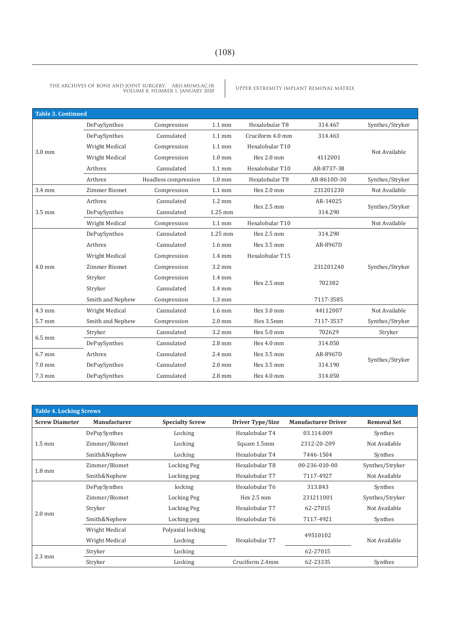| <b>Table 3. Continued</b> |                      |                      |                  |                  |             |                 |
|---------------------------|----------------------|----------------------|------------------|------------------|-------------|-----------------|
|                           | DePuySynthes         | Compression          | $1.1 \text{ mm}$ | Hexalobular T8   | 314.467     | Synthes/Stryker |
|                           | DePuySynthes         | Cannulated           | $1.1 \text{ mm}$ | Cruciform 4.0 mm | 314.463     |                 |
| $3.0$ mm                  | Wright Medical       | Compression          | $1.1 \text{ mm}$ | Hexalobular T10  |             | Not Available   |
|                           | Wright Medical       | Compression          | $1.0 \text{ mm}$ | Hex 2.0 mm       | 4112001     |                 |
|                           | Arthrex              | Cannulated           | $1.1 \text{ mm}$ | Hexalobular T10  | AR-8737-38  |                 |
|                           | Arthrex              | Headless compression | $1.0 \text{ mm}$ | Hexalobular T8   | AR-8610D-30 | Synthes/Stryker |
| 3.4 mm                    | <b>Zimmer Biomet</b> | Compression          | $1.1 \text{ mm}$ | Hex 2.0 mm       | 231201230   | Not Available   |
|                           | Arthrex              | Cannulated           | $1.2 \text{ mm}$ | Hex 2.5 mm       | AR-14025    | Synthes/Stryker |
| $3.5 \text{ mm}$          | DePuySynthes         | Cannulated           | 1.25 mm          |                  | 314.290     |                 |
|                           | Wright Medical       | Compression          | $1.1 \text{ mm}$ | Hexalobular T10  |             | Not Available   |
|                           | DePuySynthes         | Cannulated           | $1.25$ mm        | Hex 2.5 mm       | 314.290     |                 |
|                           | Arthrex              | Cannulated           | $1.6 \text{ mm}$ | Hex 3.5 mm       | AR-8967D    |                 |
|                           | Wright Medical       | Compression          | $1.4 \text{ mm}$ | Hexalobular T15  |             |                 |
| $4.0$ mm                  | <b>Zimmer Biomet</b> | Compression          | $3.2 \text{ mm}$ |                  | 231201240   | Synthes/Stryker |
|                           | Stryker              | Compression          | $1.4 \text{ mm}$ | Hex 2.5 mm       | 702382      |                 |
|                           | Stryker              | Cannulated           | $1.4 \text{ mm}$ |                  |             |                 |
|                           | Smith and Nephew     | Compression          | $1.3 \text{ mm}$ |                  | 7117-3585   |                 |
| $4.3$ mm                  | Wright Medical       | Cannulated           | $1.6 \text{ mm}$ | Hex $3.0$ mm     | 44112007    | Not Available   |
| 5.7 mm                    | Smith and Nephew     | Compression          | $2.0 \text{ mm}$ | Hex 3.5mm        | 7117-3537   | Synthes/Stryker |
| $6.5$ mm                  | Stryker              | Cannulated           | $3.2 \text{ mm}$ | Hex 5.0 mm       | 702629      | Stryker         |
|                           | DePuySynthes         | Cannulated           | $2.8 \text{ mm}$ | Hex $4.0$ mm     | 314.050     |                 |
| $6.7$ mm                  | Arthrex              | Cannulated           | $2.4 \text{ mm}$ | Hex 3.5 mm       | AR-8967D    |                 |
| $7.0 \text{ mm}$          | DePuySynthes         | Cannulated           | $2.0$ mm         | Hex 3.5 mm       | 314.190     | Synthes/Stryker |
| 7.3 mm                    | DePuySynthes         | Cannulated           | $2.8$ mm         | Hex 4.0 mm       | 314.050     |                 |

| <b>Table 4. Locking Screws</b> |                     |                        |                         |                            |                    |  |  |
|--------------------------------|---------------------|------------------------|-------------------------|----------------------------|--------------------|--|--|
| <b>Screw Diameter</b>          | <b>Manufacturer</b> | <b>Specialty Screw</b> | <b>Driver Type/Size</b> | <b>Manufacturer Driver</b> | <b>Removal Set</b> |  |  |
|                                | DePuySynthes        | Locking                | Hexalobular T4          | 03.114.009                 | Synthes            |  |  |
| $1.5 \text{ mm}$               | Zimmer/Biomet       | Locking                | Square 1.5mm            | 2312-20-209                | Not Available      |  |  |
|                                | Smith&Nephew        | Locking                | Hexalobular T4          | 7446-1504                  | Synthes            |  |  |
| $1.8 \text{ mm}$               | Zimmer/Biomet       | Locking Peg            | Hexalobular T8          | 00-236-010-00              | Synthes/Stryker    |  |  |
|                                | Smith&Nephew        | Locking peg            | Hexalobular T7          | 7117-4927                  | Not Available      |  |  |
|                                | DePuySynthes        | locking                | Hexalobular T6          | 313.843                    | Synthes            |  |  |
|                                | Zimmer/Biomet       | Locking Peg            | Hex 2.5 mm              | 231211001                  | Synthes/Stryker    |  |  |
| $2.0 \text{ mm}$               | Stryker             | Locking Peg            | Hexalobular T7          | 62-27015                   | Not Available      |  |  |
|                                | Smith&Nephew        | Locking peg            | Hexalobular T6          | 7117-4921                  | Synthes            |  |  |
|                                | Wright Medical      | Polyaxial locking      |                         | 49510102                   |                    |  |  |
|                                | Wright Medical      | Locking                | Hexalobular T7          |                            | Not Available      |  |  |
|                                | Stryker             | Locking                |                         | 62-27015                   |                    |  |  |
| $2.3 \text{ mm}$               | Stryker             | Locking                | Cruciform 2.4mm         | 62-23335                   | Synthes            |  |  |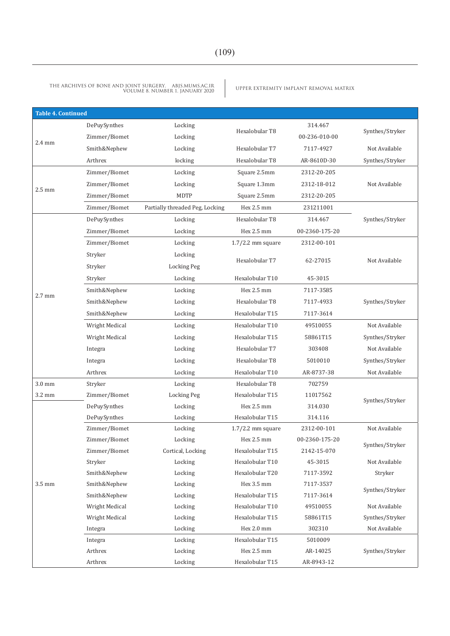| <b>Table 4. Continued</b> |                       |                                 |                     |                |                 |
|---------------------------|-----------------------|---------------------------------|---------------------|----------------|-----------------|
|                           | DePuySynthes          | Locking                         |                     | 314.467        |                 |
|                           | Zimmer/Biomet         | Locking                         | Hexalobular T8      | 00-236-010-00  | Synthes/Stryker |
| $2.4 \text{ mm}$          | Smith&Nephew          | Locking                         | Hexalobular T7      | 7117-4927      | Not Available   |
|                           | Arthrex               | locking                         | Hexalobular T8      | AR-8610D-30    | Synthes/Stryker |
|                           | Zimmer/Biomet         | Locking                         | Square 2.5mm        | 2312-20-205    |                 |
|                           | Zimmer/Biomet         | Locking                         | Square 1.3mm        | 2312-18-012    | Not Available   |
| $2.5 \text{ mm}$          | Zimmer/Biomet         | <b>MDTP</b>                     | Square 2.5mm        | 2312-20-205    |                 |
|                           | Zimmer/Biomet         | Partially threaded Peg, Locking | Hex 2.5 mm          | 231211001      |                 |
|                           | DePuySynthes          | Locking                         | Hexalobular T8      | 314.467        | Synthes/Stryker |
|                           | Zimmer/Biomet         | Locking                         | Hex 2.5 mm          | 00-2360-175-20 |                 |
|                           | Zimmer/Biomet         | Locking                         | $1.7/2.2$ mm square | 2312-00-101    |                 |
|                           | Stryker               | Locking                         |                     |                |                 |
|                           | Stryker               | <b>Locking Peg</b>              | Hexalobular T7      | 62-27015       | Not Available   |
|                           | Stryker               | Locking                         | Hexalobular T10     | 45-3015        |                 |
|                           | Smith&Nephew          | Locking                         | Hex 2.5 mm          | 7117-3585      |                 |
| $2.7 \text{ mm}$          | Smith&Nephew          | Locking                         | Hexalobular T8      | 7117-4933      | Synthes/Stryker |
|                           | Smith&Nephew          | Locking                         | Hexalobular T15     | 7117-3614      |                 |
|                           | <b>Wright Medical</b> | Locking                         | Hexalobular T10     | 49510055       | Not Available   |
|                           | Wright Medical        | Locking                         | Hexalobular T15     | 58861T15       | Synthes/Stryker |
|                           | Integra               | Locking                         | Hexalobular T7      | 303408         | Not Available   |
|                           | Integra               | Locking                         | Hexalobular T8      | 5010010        | Synthes/Stryker |
|                           | Arthrex               | Locking                         | Hexalobular T10     | AR-8737-38     | Not Available   |
| 3.0 mm                    | Stryker               | Locking                         | Hexalobular T8      | 702759         |                 |
| 3.2 mm                    | Zimmer/Biomet         | <b>Locking Peg</b>              | Hexalobular T15     | 11017562       | Synthes/Stryker |
|                           | DePuySynthes          | Locking                         | Hex 2.5 mm          | 314.030        |                 |
|                           | DePuySynthes          | Locking                         | Hexalobular T15     | 314.116        |                 |
|                           | Zimmer/Biomet         | Locking                         | $1.7/2.2$ mm square | 2312-00-101    | Not Available   |
|                           | Zimmer/Biomet         | Locking                         | Hex 2.5 mm          | 00-2360-175-20 | Synthes/Stryker |
|                           | Zimmer/Biomet         | Cortical, Locking               | Hexalobular T15     | 2142-15-070    |                 |
|                           | Stryker               | Locking                         | Hexalobular T10     | 45-3015        | Not Available   |
|                           | Smith&Nephew          | Locking                         | Hexalobular T20     | 7117-3592      | Stryker         |
| 3.5 mm                    | Smith&Nephew          | Locking                         | Hex 3.5 mm          | 7117-3537      | Synthes/Stryker |
|                           | Smith&Nephew          | Locking                         | Hexalobular T15     | 7117-3614      |                 |
|                           | Wright Medical        | Locking                         | Hexalobular T10     | 49510055       | Not Available   |
|                           | Wright Medical        | Locking                         | Hexalobular T15     | 58861T15       | Synthes/Stryker |
|                           | Integra               | Locking                         | Hex 2.0 mm          | 302310         | Not Available   |
|                           | Integra               | Locking                         | Hexalobular T15     | 5010009        |                 |
|                           | Arthrex               | Locking                         | Hex 2.5 mm          | AR-14025       | Synthes/Stryker |
|                           | Arthrex               | Locking                         | Hexalobular T15     | AR-8943-12     |                 |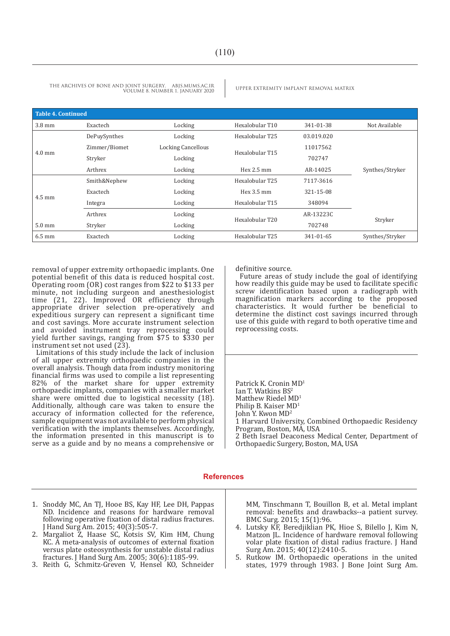| Table 4. Continued |               |                           |                 |            |                 |
|--------------------|---------------|---------------------------|-----------------|------------|-----------------|
| $3.8 \text{ mm}$   | Exactech      | Locking                   | Hexalobular T10 | 341-01-38  | Not Available   |
|                    | DePuySynthes  | Locking                   | Hexalobular T25 | 03.019.020 |                 |
|                    | Zimmer/Biomet | <b>Locking Cancellous</b> | Hexalobular T15 | 11017562   |                 |
| $4.0$ mm           | Stryker       | Locking                   |                 | 702747     |                 |
|                    | Arthrex       | Locking                   | Hex 2.5 mm      | AR-14025   | Synthes/Stryker |
|                    | Smith&Nephew  | Locking                   | Hexalobular T25 | 7117-3616  |                 |
| $4.5 \text{ mm}$   | Exactech      | Locking                   | Hex 3.5 mm      | 321-15-08  |                 |
|                    | Integra       | Locking                   | Hexalobular T15 | 348094     |                 |
|                    | Arthrex       | Locking                   | Hexalobular T20 | AR-13223C  |                 |
| $5.0 \text{ mm}$   | Stryker       | Locking                   |                 | 702748     | Stryker         |
| $6.5 \text{ mm}$   | Exactech      | Locking                   | Hexalobular T25 | 341-01-65  | Synthes/Stryker |

removal of upper extremity orthopaedic implants. One potential benefit of this data is reduced hospital cost. Operating room (OR) cost ranges from \$22 to \$133 per minute, not including surgeon and anesthesiologist time (21, 22). Improved OR efficiency through appropriate driver selection pre-operatively and expeditious surgery can represent a significant time and cost savings. More accurate instrument selection and avoided instrument tray reprocessing could yield further savings, ranging from \$75 to \$330 per instrument set not used (23).

Limitations of this study include the lack of inclusion of all upper extremity orthopaedic companies in the overall analysis. Though data from industry monitoring financial firms was used to compile a list representing 82% of the market share for upper extremity orthopaedic implants, companies with a smaller market share were omitted due to logistical necessity (18). Additionally, although care was taken to ensure the accuracy of information collected for the reference, sample equipment was not available to perform physical verification with the implants themselves. Accordingly, the information presented in this manuscript is to serve as a guide and by no means a comprehensive or definitive source.

Future areas of study include the goal of identifying how readily this guide may be used to facilitate specific screw identification based upon a radiograph with magnification markers according to the proposed characteristics. It would further be beneficial to determine the distinct cost savings incurred through use of this guide with regard to both operative time and reprocessing costs.

Patrick K. Cronin MD<sup>1</sup> Ian T. Watkins BS<sup>2</sup> Matthew Riedel MD<sup>1</sup> Philip B. Kaiser MD<sup>1</sup> John Y. Kwon MD<sup>2</sup> 1 Harvard University, Combined Orthopaedic Residency Program, Boston, MA, USA 2 Beth Israel Deaconess Medical Center, Department of Orthopaedic Surgery, Boston, MA, USA

### **References**

- 1. Snoddy MC, An TJ, Hooe BS, Kay HF, Lee DH, Pappas ND. Incidence and reasons for hardware removal following operative fixation of distal radius fractures. J Hand Surg Am. 2015; 40(3):505-7.
- 2. Margaliot Z, Haase SC, Kotsis SV, Kim HM, Chung KC. A meta-analysis of outcomes of external fixation versus plate osteosynthesis for unstable distal radius fractures. J Hand Surg Am. 2005; 30(6):1185-99.
- 3. Reith G, Schmitz-Greven V, Hensel KO, Schneider

MM, Tinschmann T, Bouillon B, et al. Metal implant removal: benefits and drawbacks--a patient survey. BMC Surg. 2015; 15(1):96.

- 4. Lutsky KF, Beredjiklian PK, Hioe S, Bilello J, Kim N, Matzon JL. Incidence of hardware removal following volar plate fixation of distal radius fracture. J Hand Surg Am. 2015; 40(12):2410-5.
- 5. Rutkow IM. Orthopaedic operations in the united states, 1979 through 1983. J Bone Joint Surg Am.